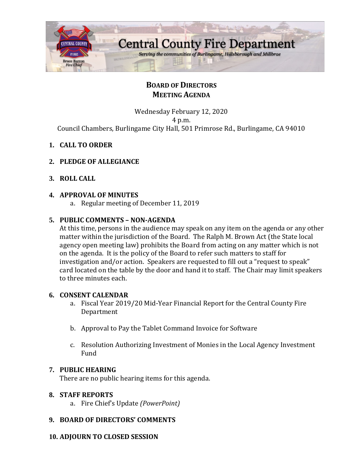

# **BOARD OF DIRECTORS MEETING AGENDA**

Wednesday February 12, 2020 4 p.m. Council Chambers, Burlingame City Hall, 501 Primrose Rd., Burlingame, CA 94010

- **1. CALL TO ORDER**
- **2. PLEDGE OF ALLEGIANCE**
- **3. ROLL CALL**

### **4. APPROVAL OF MINUTES**

a. Regular meeting of December 11, 2019

### **5. PUBLIC COMMENTS – NON-AGENDA**

At this time, persons in the audience may speak on any item on the agenda or any other matter within the jurisdiction of the Board. The Ralph M. Brown Act (the State local agency open meeting law) prohibits the Board from acting on any matter which is not on the agenda. It is the policy of the Board to refer such matters to staff for investigation and/or action. Speakers are requested to fill out a "request to speak" card located on the table by the door and hand it to staff. The Chair may limit speakers to three minutes each.

### **6. CONSENT CALENDAR**

- a. Fiscal Year 2019/20 Mid-Year Financial Report for the Central County Fire Department
- b. Approval to Pay the Tablet Command Invoice for Software
- c. Resolution Authorizing Investment of Monies in the Local Agency Investment Fund

### **7. PUBLIC HEARING**

There are no public hearing items for this agenda.

### **8. STAFF REPORTS**

a. Fire Chief's Update *(PowerPoint)*

### **9. BOARD OF DIRECTORS' COMMENTS**

### **10. ADJOURN TO CLOSED SESSION**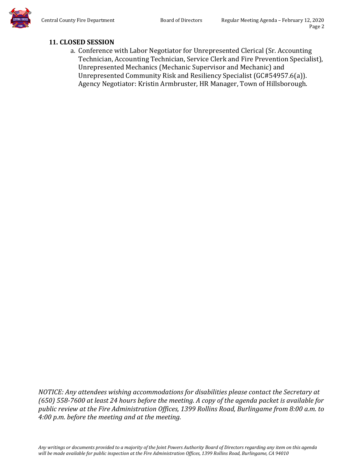

# **11. CLOSED SESSION**

a. Conference with Labor Negotiator for Unrepresented Clerical (Sr. Accounting Technician, Accounting Technician, Service Clerk and Fire Prevention Specialist), Unrepresented Mechanics (Mechanic Supervisor and Mechanic) and Unrepresented Community Risk and Resiliency Specialist (GC#54957.6(a)). Agency Negotiator: Kristin Armbruster, HR Manager, Town of Hillsborough.

*NOTICE: Any attendees wishing accommodations for disabilities please contact the Secretary at (650) 558-7600 at least 24 hours before the meeting. A copy of the agenda packet is available for public review at the Fire Administration Offices, 1399 Rollins Road, Burlingame from 8:00 a.m. to 4:00 p.m. before the meeting and at the meeting.*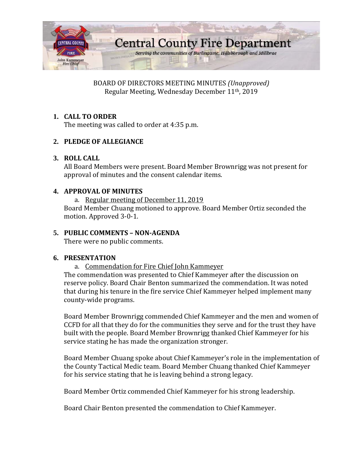

BOARD OF DIRECTORS MEETING MINUTES *(Unapproved)* Regular Meeting, Wednesday December 11th, 2019

## **1. CALL TO ORDER**

The meeting was called to order at 4:35 p.m.

### **2. PLEDGE OF ALLEGIANCE**

### **3. ROLL CALL**

All Board Members were present. Board Member Brownrigg was not present for approval of minutes and the consent calendar items.

### **4. APPROVAL OF MINUTES**

a. Regular meeting of December 11, 2019

Board Member Chuang motioned to approve. Board Member Ortiz seconded the motion. Approved 3-0-1.

### **5. PUBLIC COMMENTS – NON-AGENDA**

There were no public comments.

### **6. PRESENTATION**

a. Commendation for Fire Chief John Kammeyer

The commendation was presented to Chief Kammeyer after the discussion on reserve policy. Board Chair Benton summarized the commendation. It was noted that during his tenure in the fire service Chief Kammeyer helped implement many county-wide programs.

Board Member Brownrigg commended Chief Kammeyer and the men and women of CCFD for all that they do for the communities they serve and for the trust they have built with the people. Board Member Brownrigg thanked Chief Kammeyer for his service stating he has made the organization stronger.

Board Member Chuang spoke about Chief Kammeyer's role in the implementation of the County Tactical Medic team. Board Member Chuang thanked Chief Kammeyer for his service stating that he is leaving behind a strong legacy.

Board Member Ortiz commended Chief Kammeyer for his strong leadership.

Board Chair Benton presented the commendation to Chief Kammeyer.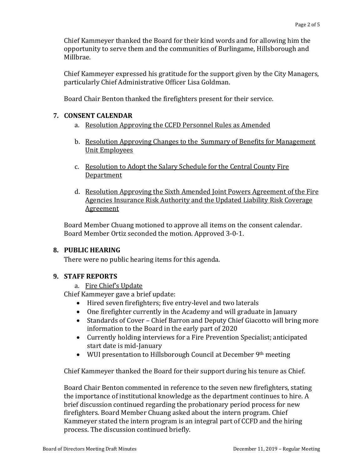Chief Kammeyer thanked the Board for their kind words and for allowing him the opportunity to serve them and the communities of Burlingame, Hillsborough and Millbrae.

Chief Kammeyer expressed his gratitude for the support given by the City Managers, particularly Chief Administrative Officer Lisa Goldman.

Board Chair Benton thanked the firefighters present for their service.

### **7. CONSENT CALENDAR**

- a. Resolution Approving the CCFD Personnel Rules as Amended
- b. Resolution Approving Changes to the Summary of Benefits for Management Unit Employees
- c. Resolution to Adopt the Salary Schedule for the Central County Fire **Department**
- d. Resolution Approving the Sixth Amended Joint Powers Agreement of the Fire Agencies Insurance Risk Authority and the Updated Liability Risk Coverage Agreement

Board Member Chuang motioned to approve all items on the consent calendar. Board Member Ortiz seconded the motion. Approved 3-0-1.

### **8. PUBLIC HEARING**

There were no public hearing items for this agenda.

## **9. STAFF REPORTS**

a. Fire Chief's Update

Chief Kammeyer gave a brief update:

- Hired seven firefighters; five entry-level and two laterals
- One firefighter currently in the Academy and will graduate in January
- Standards of Cover Chief Barron and Deputy Chief Giacotto will bring more information to the Board in the early part of 2020
- Currently holding interviews for a Fire Prevention Specialist; anticipated start date is mid-January
- WUI presentation to Hillsborough Council at December 9<sup>th</sup> meeting

Chief Kammeyer thanked the Board for their support during his tenure as Chief.

Board Chair Benton commented in reference to the seven new firefighters, stating the importance of institutional knowledge as the department continues to hire. A brief discussion continued regarding the probationary period process for new firefighters. Board Member Chuang asked about the intern program. Chief Kammeyer stated the intern program is an integral part of CCFD and the hiring process. The discussion continued briefly.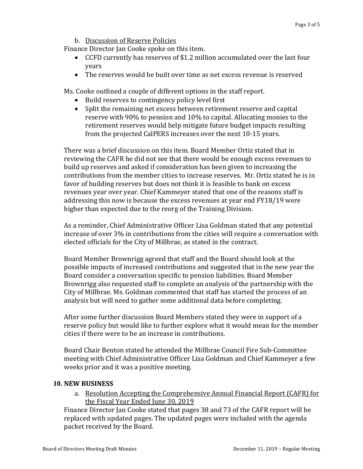b. Discussion of Reserve Policies

Finance Director Jan Cooke spoke on this item.

- CCFD currently has reserves of \$1.2 million accumulated over the last four years
- The reserves would be built over time as net excess revenue is reserved

Ms. Cooke outlined a couple of different options in the staff report.

- Build reserves to contingency policy level first
- Split the remaining net excess between retirement reserve and capital reserve with 90% to pension and 10% to capital. Allocating monies to the retirement reserves would help mitigate future budget impacts resulting from the projected CalPERS increases over the next 10-15 years.

There was a brief discussion on this item. Board Member Ortiz stated that in reviewing the CAFR he did not see that there would be enough excess revenues to build up reserves and asked if consideration has been given to increasing the contributions from the member cities to increase reserves. Mr. Ortiz stated he is in favor of building reserves but does not think it is feasible to bank on excess revenues year over year. Chief Kammeyer stated that one of the reasons staff is addressing this now is because the excess revenues at year end FY18/19 were higher than expected due to the reorg of the Training Division.

As a reminder, Chief Administrative Officer Lisa Goldman stated that any potential increase of over 3% in contributions from the cities will require a conversation with elected officials for the City of Millbrae, as stated in the contract.

Board Member Brownrigg agreed that staff and the Board should look at the possible impacts of increased contributions and suggested that in the new year the Board consider a conversation specific to pension liabilities. Board Member Brownrigg also requested staff to complete an analysis of the partnership with the City of Millbrae. Ms. Goldman commented that staff has started the process of an analysis but will need to gather some additional data before completing.

After some further discussion Board Members stated they were in support of a reserve policy but would like to further explore what it would mean for the member cities if there were to be an increase in contributions.

Board Chair Benton stated he attended the Millbrae Council Fire Sub-Committee meeting with Chief Administrative Officer Lisa Goldman and Chief Kammeyer a few weeks prior and it was a positive meeting.

### **10. NEW BUSINESS**

a. Resolution Accepting the Comprehensive Annual Financial Report (CAFR) for the Fiscal Year Ended June 30, 2019

Finance Director Jan Cooke stated that pages 38 and 73 of the CAFR report will be replaced with updated pages. The updated pages were included with the agenda packet received by the Board.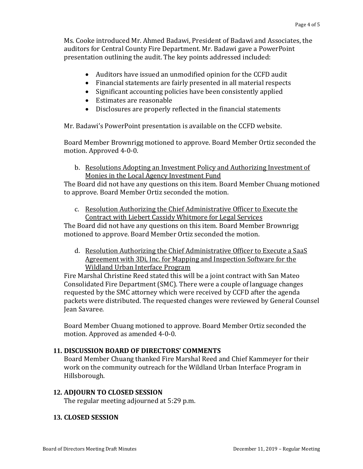Ms. Cooke introduced Mr. Ahmed Badawi, President of Badawi and Associates, the auditors for Central County Fire Department. Mr. Badawi gave a PowerPoint presentation outlining the audit. The key points addressed included:

- Auditors have issued an unmodified opinion for the CCFD audit
- Financial statements are fairly presented in all material respects
- Significant accounting policies have been consistently applied
- Estimates are reasonable
- Disclosures are properly reflected in the financial statements

Mr. Badawi's PowerPoint presentation is available on the CCFD website.

Board Member Brownrigg motioned to approve. Board Member Ortiz seconded the motion. Approved 4-0-0.

b. Resolutions Adopting an Investment Policy and Authorizing Investment of Monies in the Local Agency Investment Fund

The Board did not have any questions on this item. Board Member Chuang motioned to approve. Board Member Ortiz seconded the motion.

c. Resolution Authorizing the Chief Administrative Officer to Execute the Contract with Liebert Cassidy Whitmore for Legal Services

The Board did not have any questions on this item. Board Member Brownrigg motioned to approve. Board Member Ortiz seconded the motion.

d. Resolution Authorizing the Chief Administrative Officer to Execute a SaaS Agreement with 3Di, Inc. for Mapping and Inspection Software for the Wildland Urban Interface Program

Fire Marshal Christine Reed stated this will be a joint contract with San Mateo Consolidated Fire Department (SMC). There were a couple of language changes requested by the SMC attorney which were received by CCFD after the agenda packets were distributed. The requested changes were reviewed by General Counsel Jean Savaree.

Board Member Chuang motioned to approve. Board Member Ortiz seconded the motion. Approved as amended 4-0-0.

### **11. DISCUSSION BOARD OF DIRECTORS' COMMENTS**

Board Member Chuang thanked Fire Marshal Reed and Chief Kammeyer for their work on the community outreach for the Wildland Urban Interface Program in Hillsborough.

### **12. ADJOURN TO CLOSED SESSION**

The regular meeting adjourned at 5:29 p.m.

### **13. CLOSED SESSION**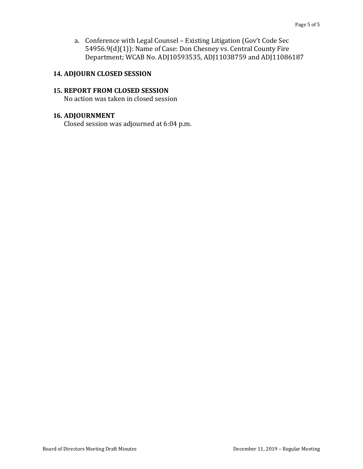a. Conference with Legal Counsel – Existing Litigation (Gov't Code Sec 54956.9(d)(1)): Name of Case: Don Chesney vs. Central County Fire Department; WCAB No. ADJ10593535, ADJ11038759 and ADJ11086187

### **14. ADJOURN CLOSED SESSION**

#### **15. REPORT FROM CLOSED SESSION**

No action was taken in closed session

### **16. ADJOURNMENT**

Closed session was adjourned at 6:04 p.m.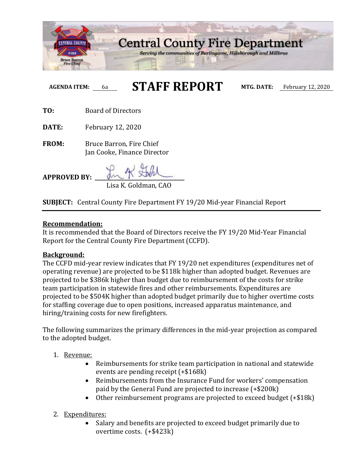

# **AGENDA ITEM:** 6a **STAFF REPORT MTG. DATE:** February 12, 2020

**TO:** Board of Directors

**DATE:** February 12, 2020

**FROM:** Bruce Barron, Fire Chief Jan Cooke, Finance Director

**APPROVED BY: \_\_\_\_\_\_\_\_\_\_\_\_\_\_\_\_\_\_\_\_\_\_\_\_\_\_\_\_\_\_\_\_\_\_** Lisa K. Goldman, CAO

**SUBJECT:** Central County Fire Department FY 19/20 Mid-year Financial Report

### **Recommendation:**

It is recommended that the Board of Directors receive the FY 19/20 Mid-Year Financial Report for the Central County Fire Department (CCFD).

### **Background:**

The CCFD mid-year review indicates that FY 19/20 net expenditures (expenditures net of operating revenue) are projected to be \$118k higher than adopted budget. Revenues are projected to be \$386k higher than budget due to reimbursement of the costs for strike team participation in statewide fires and other reimbursements. Expenditures are projected to be \$504K higher than adopted budget primarily due to higher overtime costs for staffing coverage due to open positions, increased apparatus maintenance, and hiring/training costs for new firefighters.

The following summarizes the primary differences in the mid-year projection as compared to the adopted budget.

- 1. Revenue:
	- Reimbursements for strike team participation in national and statewide events are pending receipt (+\$168k)
	- Reimbursements from the Insurance Fund for workers' compensation paid by the General Fund are projected to increase (+\$200k)
	- Other reimbursement programs are projected to exceed budget (+\$18k)
- 2. Expenditures:
	- Salary and benefits are projected to exceed budget primarily due to overtime costs. (+\$423k)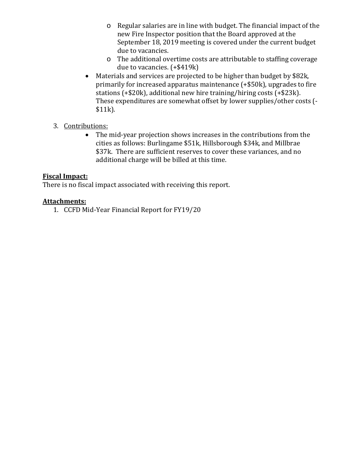- o Regular salaries are in line with budget. The financial impact of the new Fire Inspector position that the Board approved at the September 18, 2019 meeting is covered under the current budget due to vacancies.
- o The additional overtime costs are attributable to staffing coverage due to vacancies. (+\$419k)
- Materials and services are projected to be higher than budget by \$82k, primarily for increased apparatus maintenance (+\$50k), upgrades to fire stations (+\$20k), additional new hire training/hiring costs (+\$23k). These expenditures are somewhat offset by lower supplies/other costs (- \$11k).
- 3. Contributions:
	- The mid-year projection shows increases in the contributions from the cities as follows: Burlingame \$51k, Hillsborough \$34k, and Millbrae \$37k. There are sufficient reserves to cover these variances, and no additional charge will be billed at this time.

## **Fiscal Impact:**

There is no fiscal impact associated with receiving this report.

### **Attachments:**

1. CCFD Mid-Year Financial Report for FY19/20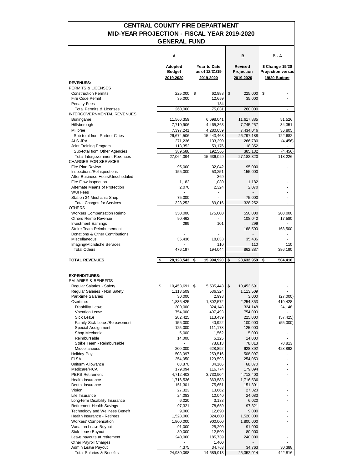### **MID-YEAR PROJECTION - FISCAL YEAR 2019-2020 CENTRAL COUNTY FIRE DEPARTMENT GENERAL FUND**

|                                                                    | Α                                     |                                             | в                                  | B - A                                                       |
|--------------------------------------------------------------------|---------------------------------------|---------------------------------------------|------------------------------------|-------------------------------------------------------------|
|                                                                    | Adopted<br><b>Budget</b><br>2019-2020 | Year to Date<br>as of 12/31/19<br>2019-2020 | Revised<br>Projection<br>2019-2020 | \$ Change 19/20<br><b>Projection versus</b><br>19/20 Budget |
| <b>REVENUES:</b>                                                   |                                       |                                             |                                    |                                                             |
| PERMITS & LICENSES<br><b>Construction Permits</b>                  |                                       | \$<br>62,988                                | \$<br>225,000                      | \$                                                          |
| Fire Code Permit                                                   | 225,000<br>35,000                     | 12,659                                      | 35,000                             |                                                             |
| <b>Penalty Fees</b>                                                |                                       | 184                                         |                                    |                                                             |
| <b>Total Permits &amp; Licenses</b>                                | 260,000                               | 75,831                                      | 260,000                            |                                                             |
| <b>INTERGOVERNMENTAL REVENUES</b>                                  |                                       |                                             |                                    |                                                             |
| <b>Burlingame</b>                                                  | 11,566,359                            | 6,698,041                                   | 11,617,885                         | 51,526                                                      |
| Hillsborough                                                       | 7,710,906                             | 4,465,363                                   | 7,745,257                          | 34,351                                                      |
| Millbrae<br>Sub-total from Partner Cities                          | 7,397,241<br>26,674,506               | 4,280,059<br>15,443,463                     | 7,434,046<br>26,797,188            | 36,805<br>122,682                                           |
| ALS JPA                                                            | 271,236                               | 133,390                                     | 266,780                            | (4, 456)                                                    |
| Joint Training Program                                             | 118,352                               | 59,176                                      | 118,352                            | $\overline{\phantom{a}}$                                    |
| Sub-total from Other Agencies                                      | 389,588                               | 192,566                                     | 385,132                            | (4, 456)                                                    |
| <b>Total Intergovernment Revenues</b>                              | 27,064,094                            | 15,636,029                                  | 27,182,320                         | 118,226                                                     |
| CHARGES FOR SERVICES                                               |                                       |                                             |                                    |                                                             |
| Fire Plan Review<br>Inspections/ReInspections                      | 95,000<br>155,000                     | 32,042<br>53,251                            | 95,000<br>155,000                  |                                                             |
| After Business Hours/Unscheduled                                   |                                       | 369                                         |                                    |                                                             |
| Fire Flow Inspection                                               | 1,182                                 | 1,030                                       | 1,182                              |                                                             |
| Alternate Means of Protection                                      | 2,070                                 | 2,324                                       | 2,070                              |                                                             |
| <b>WUI Fees</b>                                                    |                                       | ÷,                                          |                                    |                                                             |
| Station 34 Mechanic Shop                                           | 75,000                                | $\blacksquare$                              | 75,000                             |                                                             |
| <b>Total Charges for Services</b>                                  | 328,252                               | 89,016                                      | 328,252                            | ÷.                                                          |
| <b>OTHERS</b><br><b>Workers Compensation Reimb</b>                 | 350,000                               | 175,000                                     | 550,000                            | 200,000                                                     |
| Others Reimb Revenue                                               | 90,462                                |                                             | 108,042                            | 17,580                                                      |
| <b>Investment Earnings</b>                                         | 299                                   | 101                                         | 299                                |                                                             |
| <b>Strike Team Reimbursement</b>                                   |                                       |                                             | 168,500                            | 168,500                                                     |
| Donations & Other Contributions                                    |                                       |                                             |                                    |                                                             |
| Miscellaneous                                                      | 35,436                                | 18,833                                      | 35,436                             |                                                             |
| Imaging/Microfiche Services<br><b>Total Others</b>                 | 476,197                               | 110<br>194,044                              | 110<br>862,387                     | 110<br>386,190                                              |
| <b>TOTAL REVENUES</b>                                              | \$<br>28,128,543                      | \$<br>15,994,920                            | \$<br>28,632,959                   | \$<br>504,416                                               |
|                                                                    |                                       |                                             |                                    |                                                             |
| <b>EXPENDITURES:</b><br><b>SALARIES &amp; BENEFITS</b>             |                                       |                                             |                                    |                                                             |
| Regular Salaries - Safety                                          | \$<br>10,453,691 \$                   | 5,535,443                                   | \$<br>10,453,691                   |                                                             |
| Regular Salaries - Non Safety                                      | 1,113,509                             | 536,324                                     | 1,113,509                          |                                                             |
| <b>Part-time Salaries</b>                                          | 30,000                                | 2,993                                       | 3,000                              | (27,000)                                                    |
| Overtime:                                                          | 1,835,425                             | 1,802,572                                   | 2,254,853                          | 419,428                                                     |
| Disability Leave                                                   | 300,000                               | 324,148                                     | 324,148                            | 24,148                                                      |
| Vacation Leave                                                     | 754,000                               | 497,493                                     | 754,000                            |                                                             |
| Sick Leave<br>Family Sick Leave/Bereavement                        | 282,425<br>155,000                    | 113,439<br>40,922                           | 225,000<br>100,000                 | (57, 425)<br>(55,000)                                       |
| Special Assignment                                                 | 125,000                               | 111,178                                     | 125,000                            |                                                             |
| Shop Mechanic                                                      | 5,000                                 | 1,562                                       | 5,000                              |                                                             |
| Reimbursable                                                       | 14,000                                | 6,125                                       | 14,000                             |                                                             |
| Strike Team - Reimbursable                                         |                                       | 78,813                                      | 78,813                             | 78,813                                                      |
| Miscellaneous                                                      | 200,000                               | 628,892                                     | 628,892                            | 428,892                                                     |
| Holiday Pay                                                        | 508,097                               | 259,516                                     | 508,097                            |                                                             |
| <b>FLSA</b><br>Uniform Allowance                                   | 254,050<br>68,870                     | 129,593<br>34,166                           | 254,050<br>68,870                  |                                                             |
| Medicare/FICA                                                      | 179,094                               | 116,774                                     | 179,094                            |                                                             |
| <b>PERS Retirement</b>                                             | 4,712,403                             | 3,730,904                                   | 4,712,403                          |                                                             |
| Health Insurance                                                   | 1,716,536                             | 863,583                                     | 1,716,536                          |                                                             |
| Dental Insurance                                                   | 151,301                               | 75,651                                      | 151,301                            |                                                             |
| Vision                                                             | 27,323                                | 13,662                                      | 27,323                             |                                                             |
| Life Insurance                                                     | 24,083                                | 10,040                                      | 24,083                             |                                                             |
| Long-term Disability Insurance<br><b>Retirement Health Savings</b> | 6,020<br>97,321                       | 3,133<br>78,659                             | 6,020<br>97,321                    |                                                             |
| Technology and Wellness Benefit                                    | 9,000                                 | 12,690                                      | 9,000                              |                                                             |
| Health Insurance - Retirees                                        | 1,528,000                             | 324,600                                     | 1,528,000                          |                                                             |
| <b>Workers' Compensation</b>                                       | 1,800,000                             | 900,000                                     | 1,800,000                          |                                                             |
| Vacation Leave Buyout                                              | 91,000                                | 25,209                                      | 91,000                             |                                                             |
| Sick Leave Buyout                                                  | 80,000                                | 12,500                                      | 80,000                             |                                                             |
| Leave payouts at retirement                                        | 240,000                               | 185,739                                     | 240,000                            |                                                             |
| Other Payroll Charges<br>Admin Leave Payout                        | 4,375                                 | 1,400<br>34,763                             | 34,763                             | 30,388                                                      |
| <b>Total Salaries &amp; Benefits</b>                               | 24,930,098                            | 14,689,913                                  | 25,352,914                         | 422,816                                                     |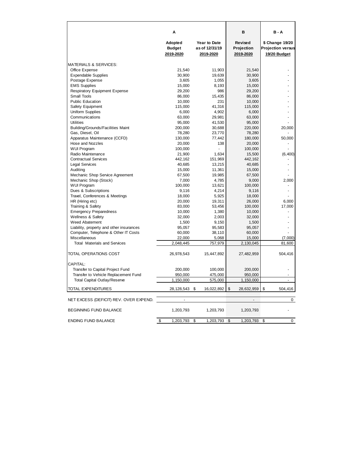|                                          | A                                     |                                                    | в                                  | B - A                                                       |
|------------------------------------------|---------------------------------------|----------------------------------------------------|------------------------------------|-------------------------------------------------------------|
|                                          | Adopted<br><b>Budget</b><br>2019-2020 | <b>Year to Date</b><br>as of 12/31/19<br>2019-2020 | Revised<br>Projection<br>2019-2020 | \$ Change 19/20<br><b>Projection versus</b><br>19/20 Budget |
| <b>MATERIALS &amp; SERVICES:</b>         |                                       |                                                    |                                    |                                                             |
| Office Expense                           | 21.540                                | 11,903                                             | 21.540                             |                                                             |
| <b>Expendable Supplies</b>               | 30,900                                | 19,639                                             | 30,900                             |                                                             |
| Postage Expense                          | 3,605                                 | 1,055                                              | 3,605                              |                                                             |
| <b>EMS Supplies</b>                      | 15,000                                | 8,193                                              | 15,000                             |                                                             |
| <b>Respiratory Equipment Expense</b>     | 29,200                                | 986                                                | 29,200                             |                                                             |
| <b>Small Tools</b>                       | 86,000                                | 15,435                                             | 86,000                             |                                                             |
| <b>Public Education</b>                  | 10,000                                | 231                                                | 10,000                             |                                                             |
| Safety Equipment                         | 115,000                               | 41,316                                             | 115,000                            |                                                             |
| Uniform Supplies                         | 6,000                                 | 4,902                                              | 6,000                              |                                                             |
| Communications                           | 63,000                                | 29,981                                             | 63,000                             |                                                             |
| <b>Utilities</b>                         | 95,000                                | 41,530                                             | 95,000                             |                                                             |
| <b>Building/Grounds/Facilities Maint</b> | 200,000                               | 30,688                                             | 220,000                            | 20,000                                                      |
| Gas, Diesel, Oil                         | 78,280                                | 23,770                                             | 78,280                             |                                                             |
| Apparatus Maintenance (CCFD)             | 130,000                               | 77,442                                             | 180,000                            | 50,000                                                      |
| Hose and Nozzles                         | 20,000                                | 138                                                | 20,000                             |                                                             |
| <b>WUI Program</b>                       | 100,000                               |                                                    | 100,000                            |                                                             |
| Radio Maintenance                        | 21,900                                | 1,634                                              | 15,500                             | (6, 400)                                                    |
| <b>Contractual Services</b>              | 442,162                               | 151,969                                            | 442,162                            | ٠                                                           |
| <b>Legal Services</b>                    | 40,685                                | 13,215                                             | 40,685                             |                                                             |
| Auditing                                 | 15,000                                | 11,361                                             | 15,000                             |                                                             |
| Mechanic Shop Service Agreement          | 67,500                                | 19,985                                             | 67,500                             |                                                             |
| Mechanic Shop (Stock)                    | 7,000                                 | 4,785                                              | 9,000                              | 2,000                                                       |
| <b>WUI Program</b>                       | 100,000                               | 13,621                                             | 100,000                            |                                                             |
| Dues & Subscriptions                     | 9,116                                 | 4,214                                              | 9,116                              |                                                             |
| Travel, Conferences & Meetings           | 18,000                                | 5,925                                              | 18,000                             |                                                             |
| HR (Hiring etc)                          | 20,000                                | 19,311                                             | 26,000                             | 6,000                                                       |
| Training & Safety                        | 83,000                                | 53,456                                             | 100,000                            | 17,000                                                      |
| <b>Emergency Preparedness</b>            | 10,000                                | 1,380                                              | 10,000                             |                                                             |
| <b>Wellness &amp; Safety</b>             | 32,000                                | 2,003                                              | 32,000                             |                                                             |
| Weed Abatement                           | 1,500                                 | 9,150                                              | 1,500                              |                                                             |
| Liability, property and other insurances | 95,057                                | 95,583                                             | 95,057                             |                                                             |
| Computer, Telephone & Other IT Costs     | 60,000                                | 38,110                                             | 60,000                             |                                                             |
| <b>Miscellaneous</b>                     | 22,000                                | 5,068                                              | 15,000                             | (7,000)                                                     |
| <b>Total Materials and Services</b>      | 2,048,445                             | 757,979                                            | 2,130,045                          | 81,600                                                      |
| <b>TOTAL OPERATIONS COST</b>             | 26,978,543                            | 15,447,892                                         | 27,482,959                         | 504,416                                                     |
| CAPITAL:                                 |                                       |                                                    |                                    |                                                             |
| Transfer to Capital Project Fund         | 200,000                               | 100,000                                            | 200,000                            |                                                             |
| Transfer to Vehicle Replacement Fund     | 950,000                               | 475,000                                            | 950,000                            |                                                             |
| <b>Total Capital Outlay/Reserve</b>      | 1,150,000                             | 575,000                                            | 1,150,000                          |                                                             |
| <b>TOTAL EXPENDITURES</b>                | 28,128,543 \$                         | 16,022,892                                         | \$<br>28,632,959                   | \$<br>504,416                                               |
| NET EXCESS (DEFICIT) REV. OVER EXPEND.   | $\blacksquare$                        |                                                    | $\overline{\phantom{a}}$           | 0                                                           |
| <b>BEGINNING FUND BALANCE</b>            | 1,203,793                             | 1,203,793                                          | 1,203,793                          |                                                             |
| <b>ENDING FUND BALANCE</b>               | \$<br>1,203,793                       | \$<br>1,203,793                                    | \$<br>1,203,793                    | $\mathbf 0$<br>\$                                           |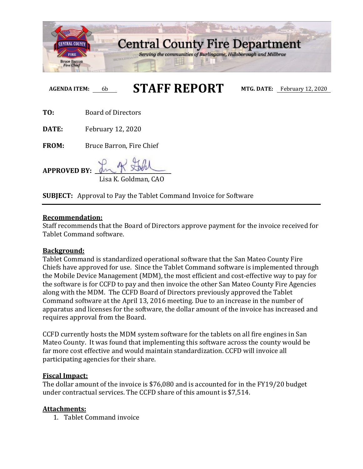

**AGENDA ITEM:** 6b **STAFF REPORT MTG. DATE:** February 12, 2020

**TO:** Board of Directors

**DATE:** February 12, 2020

**FROM:** Bruce Barron, Fire Chief

**APPROVED BY: \_\_\_\_\_\_\_\_\_\_\_\_\_\_\_\_\_\_\_\_\_\_\_\_\_\_\_\_\_**

Lisa K. Goldman, CAO

**SUBJECT:** Approval to Pay the Tablet Command Invoice for Software

### **Recommendation:**

Staff recommends that the Board of Directors approve payment for the invoice received for Tablet Command software.

### **Background:**

Tablet Command is standardized operational software that the San Mateo County Fire Chiefs have approved for use. Since the Tablet Command software is implemented through the Mobile Device Management (MDM), the most efficient and cost-effective way to pay for the software is for CCFD to pay and then invoice the other San Mateo County Fire Agencies along with the MDM. The CCFD Board of Directors previously approved the Tablet Command software at the April 13, 2016 meeting. Due to an increase in the number of apparatus and licenses for the software, the dollar amount of the invoice has increased and requires approval from the Board.

CCFD currently hosts the MDM system software for the tablets on all fire engines in San Mateo County. It was found that implementing this software across the county would be far more cost effective and would maintain standardization. CCFD will invoice all participating agencies for their share.

### **Fiscal Impact:**

The dollar amount of the invoice is \$76,080 and is accounted for in the FY19/20 budget under contractual services. The CCFD share of this amount is \$7,514.

## **Attachments:**

1. Tablet Command invoice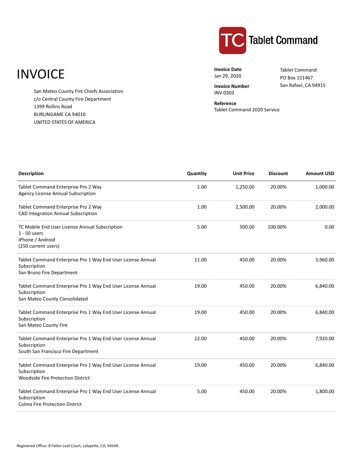# **INVOICE**

San Mateo County Fire Chiefs Association c/o Central County Fire Department 1399 Rollins Road BURLINGAME CA 94010 UNITED STATES OF AMERICA



**Invoice Date** Jan 29, 2020

**Invoice Number** INV-0303

Tablet Command PO Box 151467 San Rafael, CA 94915

**Reference** Tablet Command 2020 Service

| <b>Description</b>                                                                                                      | Quantity | <b>Unit Price</b> | <b>Discount</b> | <b>Amount USD</b> |
|-------------------------------------------------------------------------------------------------------------------------|----------|-------------------|-----------------|-------------------|
| Tablet Command Enterprise Pro 2 Way<br><b>Agency License Annual Subscription</b>                                        | 1.00     | 1,250.00          | 20.00%          | 1,000.00          |
| Tablet Command Enterprise Pro 2 Way<br>CAD Integration Annual Subscription                                              | 1.00     | 2,500.00          | 20.00%          | 2,000.00          |
| TC Mobile End User License Annual Subscription<br>$1 - 50$ users<br>iPhone / Android<br>(250 current users)             | 5.00     | 500.00            | 100.00%         | 0.00              |
| Tablet Command Enterprise Pro 1 Way End User License Annual<br>Subscription<br>San Bruno Fire Department                | 11.00    | 450.00            | 20.00%          | 3,960.00          |
| Tablet Command Enterprise Pro 1 Way End User License Annual<br>Subscription<br>San Mateo County Consolidated            | 19.00    | 450.00            | 20.00%          | 6,840.00          |
| Tablet Command Enterprise Pro 1 Way End User License Annual<br>Subscription<br>San Mateo County Fire                    | 19.00    | 450.00            | 20.00%          | 6,840.00          |
| Tablet Command Enterprise Pro 1 Way End User License Annual<br>Subscription<br>South San Francisco Fire Department      | 22.00    | 450.00            | 20.00%          | 7,920.00          |
| Tablet Command Enterprise Pro 1 Way End User License Annual<br>Subscription<br><b>Woodside Fire Protection District</b> | 19.00    | 450.00            | 20.00%          | 6,840.00          |
| Tablet Command Enterprise Pro 1 Way End User License Annual<br>Subscription<br><b>Colma Fire Protection District</b>    | 5.00     | 450.00            | 20.00%          | 1,800.00          |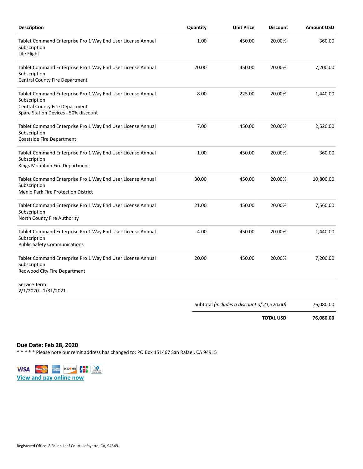| <b>Description</b>                                                                                                                                    | Quantity | <b>Unit Price</b>                           | <b>Discount</b> | <b>Amount USD</b> |
|-------------------------------------------------------------------------------------------------------------------------------------------------------|----------|---------------------------------------------|-----------------|-------------------|
| Tablet Command Enterprise Pro 1 Way End User License Annual<br>Subscription<br>Life Flight                                                            | 1.00     | 450.00                                      | 20.00%          | 360.00            |
| Tablet Command Enterprise Pro 1 Way End User License Annual<br>Subscription<br>Central County Fire Department                                         | 20.00    | 450.00                                      | 20.00%          | 7,200.00          |
| Tablet Command Enterprise Pro 1 Way End User License Annual<br>Subscription<br>Central County Fire Department<br>Spare Station Devices - 50% discount | 8.00     | 225.00                                      | 20.00%          | 1,440.00          |
| Tablet Command Enterprise Pro 1 Way End User License Annual<br>Subscription<br>Coastside Fire Department                                              | 7.00     | 450.00                                      | 20.00%          | 2,520.00          |
| Tablet Command Enterprise Pro 1 Way End User License Annual<br>Subscription<br>Kings Mountain Fire Department                                         | 1.00     | 450.00                                      | 20.00%          | 360.00            |
| Tablet Command Enterprise Pro 1 Way End User License Annual<br>Subscription<br><b>Menlo Park Fire Protection District</b>                             | 30.00    | 450.00                                      | 20.00%          | 10,800.00         |
| Tablet Command Enterprise Pro 1 Way End User License Annual<br>Subscription<br>North County Fire Authority                                            | 21.00    | 450.00                                      | 20.00%          | 7,560.00          |
| Tablet Command Enterprise Pro 1 Way End User License Annual<br>Subscription<br><b>Public Safety Communications</b>                                    | 4.00     | 450.00                                      | 20.00%          | 1,440.00          |
| Tablet Command Enterprise Pro 1 Way End User License Annual<br>Subscription<br>Redwood City Fire Department                                           | 20.00    | 450.00                                      | 20.00%          | 7,200.00          |
| Service Term<br>2/1/2020 - 1/31/2021                                                                                                                  |          |                                             |                 |                   |
|                                                                                                                                                       |          | Subtotal (includes a discount of 21,520.00) |                 | 76,080.00         |

**TOTAL USD 76,080.00**

**Due Date: Feb 28, 2020**

\* \* \* \* \* Please note our remit address has changed to: PO Box 151467 San Rafael, CA 94915

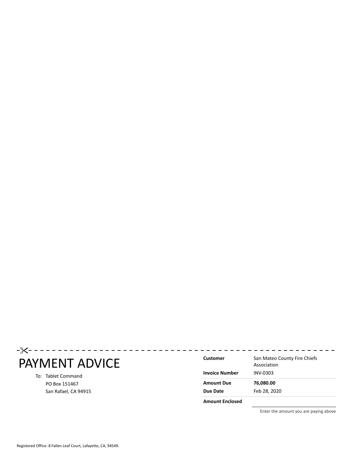# PAYMENT ADVICE

### To: Tablet Command PO Box 151467 San Rafael, CA 94915

| Customer<br><b>Invoice Number</b> | San Mateo County Fire Chiefs<br>Association<br>INV-0303 |
|-----------------------------------|---------------------------------------------------------|
| <b>Amount Due</b>                 | 76,080.00                                               |
| Due Date                          | Feb 28, 2020                                            |
| <b>Amount Enclosed</b>            |                                                         |

Enter the amount you are paying above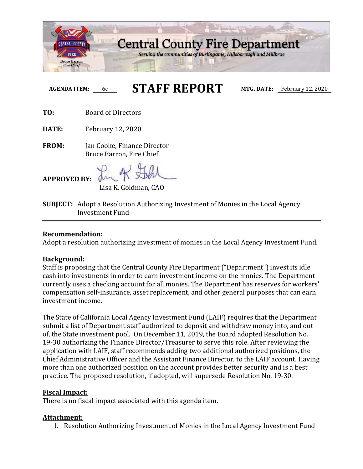

# **AGENDA ITEM:** 6c **STAFF REPORT MTG. DATE:** February 12, 2020

**TO:** Board of Directors

**DATE:** February 12, 2020

**FROM:** Jan Cooke, Finance Director Bruce Barron, Fire Chief

 $APPROVED$  **BY** Lisa K. Goldman, CAO

**SUBJECT:** Adopt a Resolution Authorizing Investment of Monies in the Local Agency Investment Fund

### **Recommendation:**

Adopt a resolution authorizing investment of monies in the Local Agency Investment Fund.

### **Background:**

Staff is proposing that the Central County Fire Department ("Department") invest its idle cash into investments in order to earn investment income on the monies. The Department currently uses a checking account for all monies. The Department has reserves for workers' compensation self-insurance, asset replacement, and other general purposes that can earn investment income.

The State of California Local Agency Investment Fund (LAIF) requires that the Department submit a list of Department staff authorized to deposit and withdraw money into, and out of, the State investment pool. On December 11, 2019, the Board adopted Resolution No. 19-30 authorizing the Finance Director/Treasurer to serve this role. After reviewing the application with LAIF, staff recommends adding two additional authorized positions, the Chief Administrative Officer and the Assistant Finance Director, to the LAIF account. Having more than one authorized position on the account provides better security and is a best practice. The proposed resolution, if adopted, will supersede Resolution No. 19-30.

### **Fiscal Impact:**

There is no fiscal impact associated with this agenda item.

### **Attachment:**

1. Resolution Authorizing Investment of Monies in the Local Agency Investment Fund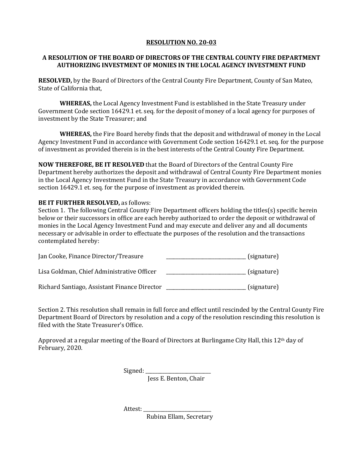### **RESOLUTION NO. 20-03**

### **A RESOLUTION OF THE BOARD OF DIRECTORS OF THE CENTRAL COUNTY FIRE DEPARTMENT AUTHORIZING INVESTMENT OF MONIES IN THE LOCAL AGENCY INVESTMENT FUND**

**RESOLVED,** by the Board of Directors of the Central County Fire Department, County of San Mateo, State of California that,

**WHEREAS,** the Local Agency Investment Fund is established in the State Treasury under Government Code section 16429.1 et. seq. for the deposit of money of a local agency for purposes of investment by the State Treasurer; and

**WHEREAS,** the Fire Board hereby finds that the deposit and withdrawal of money in the Local Agency Investment Fund in accordance with Government Code section 16429.1 et. seq. for the purpose of investment as provided therein is in the best interests of the Central County Fire Department.

**NOW THEREFORE, BE IT RESOLVED** that the Board of Directors of the Central County Fire Department hereby authorizes the deposit and withdrawal of Central County Fire Department monies in the Local Agency Investment Fund in the State Treasury in accordance with Government Code section 16429.1 et. seq. for the purpose of investment as provided therein.

### **BE IT FURTHER RESOLVED, as follows:**

Section 1. The following Central County Fire Department officers holding the titles(s) specific herein below or their successors in office are each hereby authorized to order the deposit or withdrawal of monies in the Local Agency Investment Fund and may execute and deliver any and all documents necessary or advisable in order to effectuate the purposes of the resolution and the transactions contemplated hereby:

| Jan Cooke, Finance Director/Treasure         | (signature) |
|----------------------------------------------|-------------|
| Lisa Goldman, Chief Administrative Officer   | (signature) |
| Richard Santiago, Assistant Finance Director | (signature) |

Section 2. This resolution shall remain in full force and effect until rescinded by the Central County Fire Department Board of Directors by resolution and a copy of the resolution rescinding this resolution is filed with the State Treasurer's Office.

Approved at a regular meeting of the Board of Directors at Burlingame City Hall, this 12th day of February, 2020.

> Signed: \_\_\_\_\_\_\_\_\_\_\_\_\_\_\_\_\_\_\_\_\_\_\_\_\_\_\_ Jess E. Benton, Chair

Attest:

Rubina Ellam, Secretary